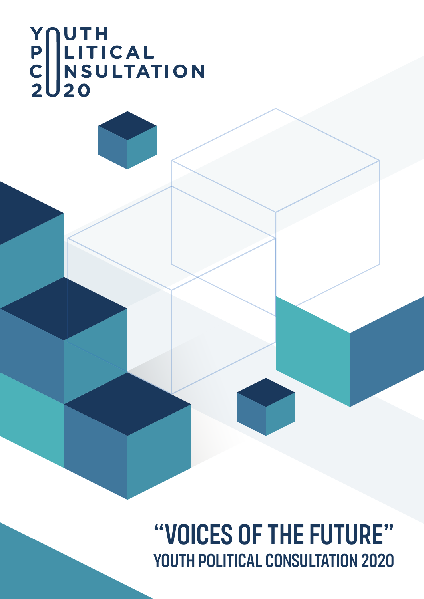# Y<br>P<br>LITICAL<br>C<br>NSULTATION<br>20

"Voices of the Future" YOUTH POLITICAL CONSULTATION 2020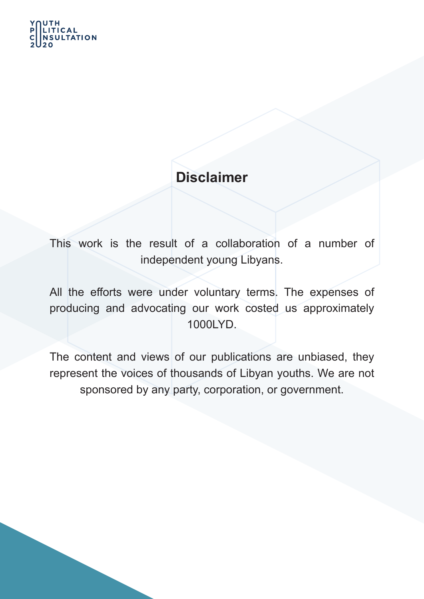## UTH **TATION**

# **Disclaimer**

This work is the result of a collaboration of a number of independent young Libyans.

All the efforts were under voluntary terms. The expenses of producing and advocating our work costed us approximately 1000LYD.

The content and views of our publications are unbiased, they represent the voices of thousands of Libyan youths. We are not sponsored by any party, corporation, or government.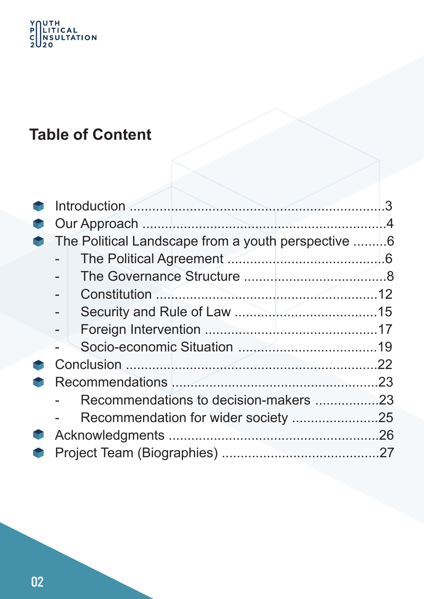# Y<br>P<br>C<br>SUITICAL<br>C<br>2020

# **Table of Content**

| The Political Landscape from a youth perspective 6 |  |
|----------------------------------------------------|--|
|                                                    |  |
|                                                    |  |
|                                                    |  |
|                                                    |  |
|                                                    |  |
|                                                    |  |
|                                                    |  |
|                                                    |  |
| Recommendations to decision-makers 23              |  |
| Recommendation for wider society 25                |  |
|                                                    |  |
|                                                    |  |
|                                                    |  |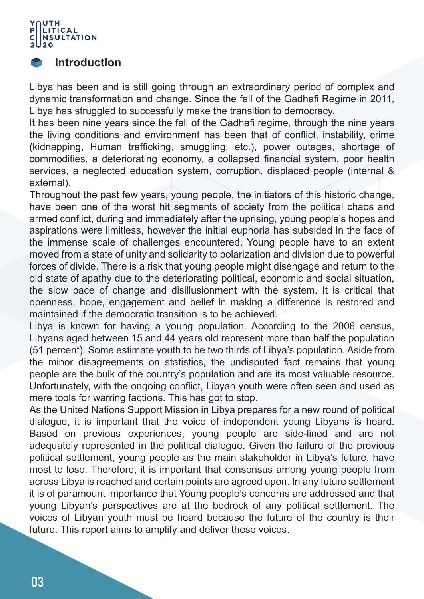

#### **Introduction**

Libya has been and is still going through an extraordinary period of complex and dynamic transformation and change. Since the fall of the Gadhafi Regime in 2011, Libya has struggled to successfully make the transition to democracy.

It has been nine years since the fall of the Gadhafi regime, through the nine years the living conditions and environment has been that of conflict, instability, crime (kidnapping, Human trafficking, smuggling, etc.), power outages, shortage of commodities, a deteriorating economy, a collapsed financial system, poor health services, a neglected education system, corruption, displaced people (internal & external).

Throughout the past few years, young people, the initiators of this historic change, have been one of the worst hit segments of society from the political chaos and armed conflict, during and immediately after the uprising, young people's hopes and aspirations were limitless, however the initial euphoria has subsided in the face of the immense scale of challenges encountered. Young people have to an extent moved from a state of unity and solidarity to polarization and division due to powerful forces of divide. There is a risk that young people might disengage and return to the old state of apathy due to the deteriorating political, economic and social situation, the slow pace of change and disillusionment with the system. It is critical that openness, hope, engagement and belief in making a difference is restored and maintained if the democratic transition is to be achieved.

Libya is known for having a young population. According to the 2006 census, Libyans aged between 15 and 44 years old represent more than half the population (51 percent). Some estimate youth to be two thirds of Libya's population. Aside from the minor disagreements on statistics, the undisputed fact remains that young people are the bulk of the country's population and are its most valuable resource. Unfortunately, with the ongoing conflict, Libyan youth were often seen and used as mere tools for warring factions. This has got to stop.

As the United Nations Support Mission in Libya prepares for a new round of political dialogue, it is important that the voice of independent young Libyans is heard. Based on previous experiences, young people are side-lined and are not adequately represented in the political dialogue. Given the failure of the previous political settlement, young people as the main stakeholder in Libya's future, have most to lose. Therefore, it is important that consensus among young people from across Libya is reached and certain points are agreed upon. In any future settlement it is of paramount importance that Young people's concerns are addressed and that young Libyan's perspectives are at the bedrock of any political settlement. The voices of Libyan youth must be heard because the future of the country is their future. This report aims to amplify and deliver these voices.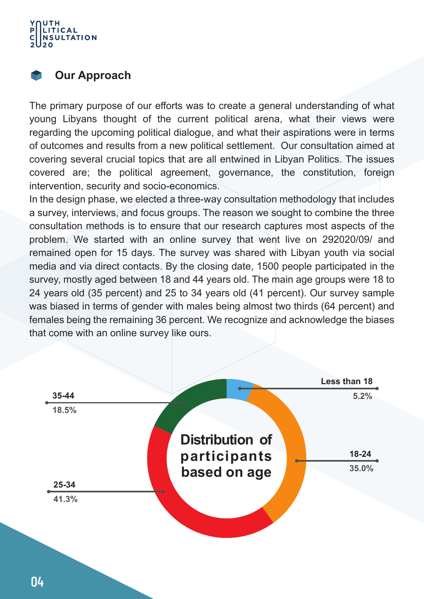#### UTH LITICAL **NSULTATION**

#### **Our Approach**

The primary purpose of our efforts was to create a general understanding of what young Libyans thought of the current political arena, what their views were regarding the upcoming political dialogue, and what their aspirations were in terms of outcomes and results from a new political settlement. Our consultation aimed at covering several crucial topics that are all entwined in Libyan Politics. The issues covered are; the political agreement, governance, the constitution, foreign intervention, security and socio-economics.

In the design phase, we elected a three-way consultation methodology that includes a survey, interviews, and focus groups. The reason we sought to combine the three consultation methods is to ensure that our research captures most aspects of the problem. We started with an online survey that went live on 292020/09/ and remained open for 15 days. The survey was shared with Libyan youth via social media and via direct contacts. By the closing date, 1500 people participated in the survey, mostly aged between 18 and 44 years old. The main age groups were 18 to 24 years old (35 percent) and 25 to 34 years old (41 percent). Our survey sample was biased in terms of gender with males being almost two thirds (64 percent) and females being the remaining 36 percent. We recognize and acknowledge the biases that come with an online survey like ours.

|       |                 | Less than 18 |
|-------|-----------------|--------------|
| 35-44 |                 | 5.2%         |
| 18.5% |                 |              |
|       | Distribution of |              |
|       | participants    | 18-24        |
|       | based on age    | 35.0%        |
| 25-34 |                 |              |
| 41.3% |                 |              |
|       |                 |              |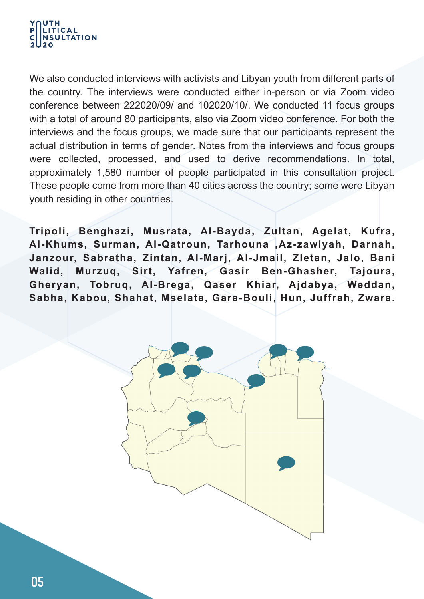#### UTH **LITICAL SULTATION**

We also conducted interviews with activists and Libyan youth from different parts of the country. The interviews were conducted either in-person or via Zoom video conference between 222020/09/ and 102020/10/. We conducted 11 focus groups with a total of around 80 participants, also via Zoom video conference. For both the interviews and the focus groups, we made sure that our participants represent the actual distribution in terms of gender. Notes from the interviews and focus groups were collected, processed, and used to derive recommendations. In total, approximately 1,580 number of people participated in this consultation project. These people come from more than 40 cities across the country; some were Libyan youth residing in other countries.

**Tripoli, Benghazi, Musrata, Al-Bayda, Zultan, Agelat, Kufra, Al-Khums, Surman, Al-Qatroun, Tarhouna ,Az-zawiyah, Darnah, Janzour, Sabratha, Zintan, Al-Marj, Al-Jmail, Zletan, Jalo, Bani Walid, Murzuq, Sirt, Yafren, Gasir Ben-Ghasher, Tajoura, Gheryan, Tobruq, Al-Brega, Qaser Khiar, Ajdabya, Weddan, Sabha, Kabou, Shahat, Mselata, Gara-Bouli, Hun, Juffrah, Zwara.**

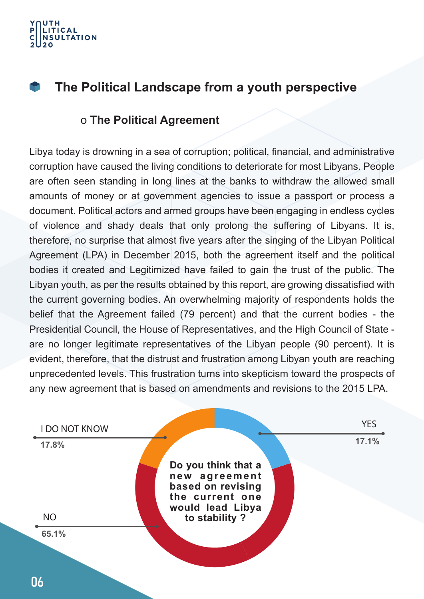

#### **The Political Landscape from a youth perspective Service**

#### o **The Political Agreement**

Libya today is drowning in a sea of corruption; political, financial, and administrative corruption have caused the living conditions to deteriorate for most Libyans. People are often seen standing in long lines at the banks to withdraw the allowed small amounts of money or at government agencies to issue a passport or process a document. Political actors and armed groups have been engaging in endless cycles of violence and shady deals that only prolong the suffering of Libyans. It is, therefore, no surprise that almost five years after the singing of the Libyan Political Agreement (LPA) in December 2015, both the agreement itself and the political bodies it created and Legitimized have failed to gain the trust of the public. The Libyan youth, as per the results obtained by this report, are growing dissatisfied with the current governing bodies. An overwhelming majority of respondents holds the belief that the Agreement failed (79 percent) and that the current bodies - the Presidential Council, the House of Representatives, and the High Council of State are no longer legitimate representatives of the Libyan people (90 percent). It is evident, therefore, that the distrust and frustration among Libyan youth are reaching unprecedented levels. This frustration turns into skepticism toward the prospects of any new agreement that is based on amendments and revisions to the 2015 LPA.

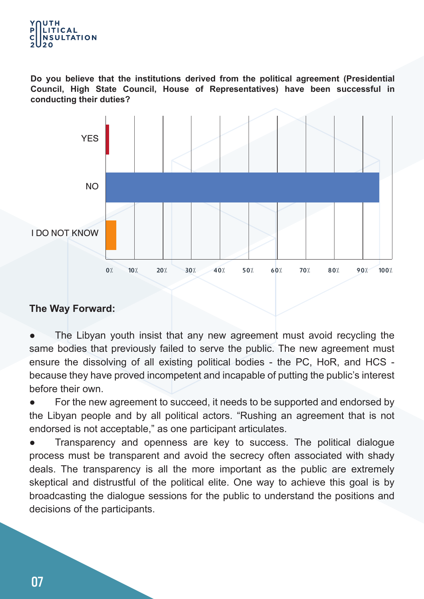

**Do you believe that the institutions derived from the political agreement (Presidential Council, High State Council, House of Representatives) have been successful in conducting their duties?**



#### **The Way Forward:**

The Libyan youth insist that any new agreement must avoid recycling the same bodies that previously failed to serve the public. The new agreement must ensure the dissolving of all existing political bodies - the PC, HoR, and HCS because they have proved incompetent and incapable of putting the public's interest before their own.

For the new agreement to succeed, it needs to be supported and endorsed by the Libyan people and by all political actors. "Rushing an agreement that is not endorsed is not acceptable," as one participant articulates.

Transparency and openness are key to success. The political dialogue process must be transparent and avoid the secrecy often associated with shady deals. The transparency is all the more important as the public are extremely skeptical and distrustful of the political elite. One way to achieve this goal is by broadcasting the dialogue sessions for the public to understand the positions and decisions of the participants.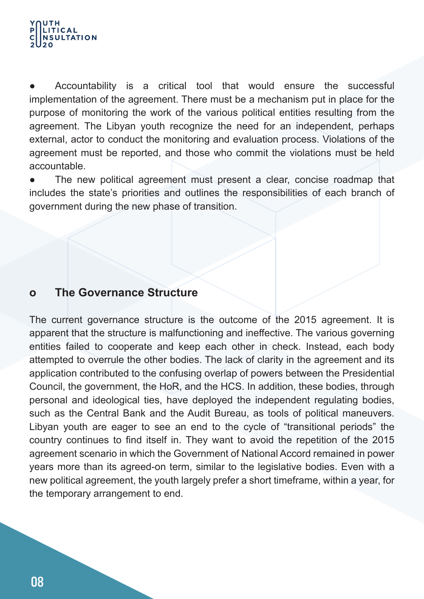#### UTH **LITICAL ISULTATION**

Accountability is a critical tool that would ensure the successful implementation of the agreement. There must be a mechanism put in place for the purpose of monitoring the work of the various political entities resulting from the agreement. The Libyan youth recognize the need for an independent, perhaps external, actor to conduct the monitoring and evaluation process. Violations of the agreement must be reported, and those who commit the violations must be held accountable.

The new political agreement must present a clear, concise roadmap that includes the state's priorities and outlines the responsibilities of each branch of government during the new phase of transition.

#### **o The Governance Structure**

The current governance structure is the outcome of the 2015 agreement. It is apparent that the structure is malfunctioning and ineffective. The various governing entities failed to cooperate and keep each other in check. Instead, each body attempted to overrule the other bodies. The lack of clarity in the agreement and its application contributed to the confusing overlap of powers between the Presidential Council, the government, the HoR, and the HCS. In addition, these bodies, through personal and ideological ties, have deployed the independent regulating bodies, such as the Central Bank and the Audit Bureau, as tools of political maneuvers. Libyan youth are eager to see an end to the cycle of "transitional periods" the country continues to find itself in. They want to avoid the repetition of the 2015 agreement scenario in which the Government of National Accord remained in power years more than its agreed-on term, similar to the legislative bodies. Even with a new political agreement, the youth largely prefer a short timeframe, within a year, for the temporary arrangement to end.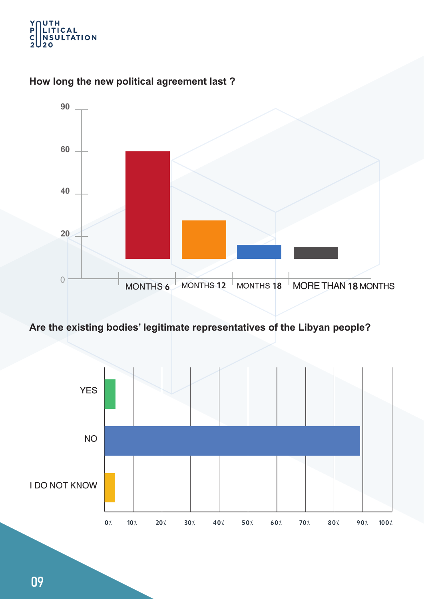#### UTH<br>LITICAL<br>NSULTATION Y<br>P  $\overline{2}$ 2٥|



#### **How long the new political agreement last ?**

#### **Are the existing bodies' legitimate representatives of the Libyan people?**

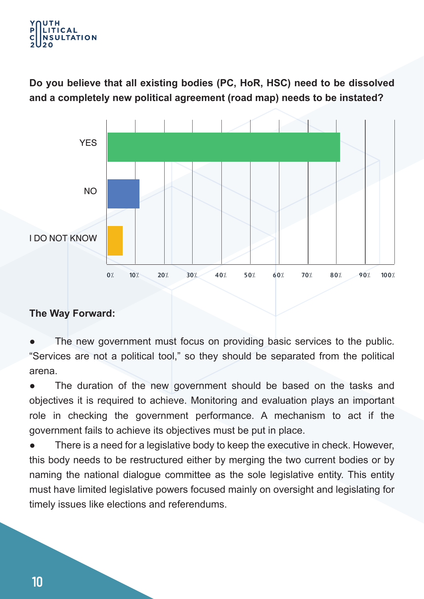#### UTH **ITICAL ULTATION**

**Do you believe that all existing bodies (PC, HoR, HSC) need to be dissolved and a completely new political agreement (road map) needs to be instated?** 



#### **The Way Forward:**

The new government must focus on providing basic services to the public. "Services are not a political tool," so they should be separated from the political arena.

The duration of the new government should be based on the tasks and objectives it is required to achieve. Monitoring and evaluation plays an important role in checking the government performance. A mechanism to act if the government fails to achieve its objectives must be put in place.

There is a need for a legislative body to keep the executive in check. However, this body needs to be restructured either by merging the two current bodies or by naming the national dialogue committee as the sole legislative entity. This entity must have limited legislative powers focused mainly on oversight and legislating for timely issues like elections and referendums.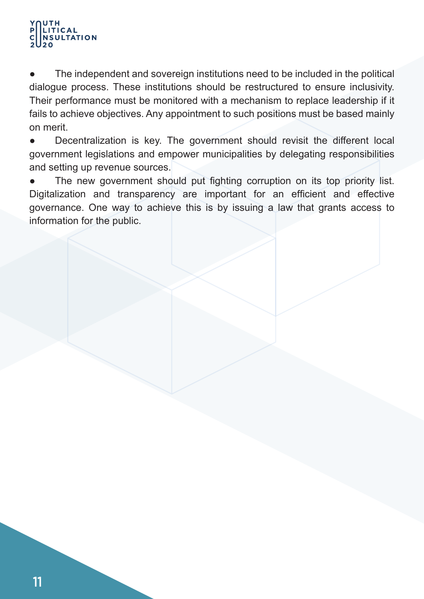#### UTH LITICAL **NSULTATION**

The independent and sovereign institutions need to be included in the political dialogue process. These institutions should be restructured to ensure inclusivity. Their performance must be monitored with a mechanism to replace leadership if it fails to achieve objectives. Any appointment to such positions must be based mainly on merit.

• Decentralization is key. The government should revisit the different local government legislations and empower municipalities by delegating responsibilities and setting up revenue sources.

The new government should put fighting corruption on its top priority list. Digitalization and transparency are important for an efficient and effective governance. One way to achieve this is by issuing a law that grants access to information for the public.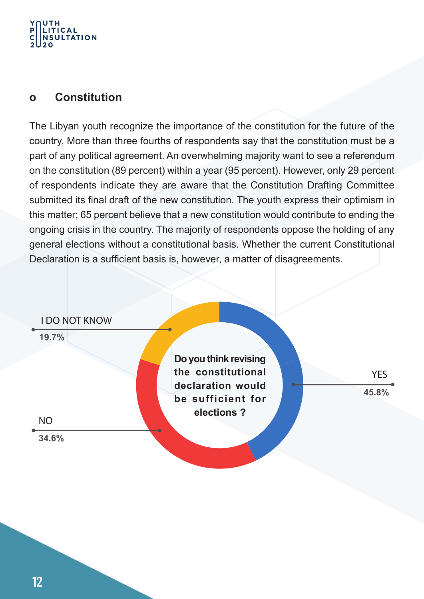#### UTH **LITICAL NSULTATION**

#### **o Constitution**

The Libyan youth recognize the importance of the constitution for the future of the country. More than three fourths of respondents say that the constitution must be a part of any political agreement. An overwhelming majority want to see a referendum on the constitution (89 percent) within a year (95 percent). However, only 29 percent of respondents indicate they are aware that the Constitution Drafting Committee submitted its final draft of the new constitution. The youth express their optimism in this matter; 65 percent believe that a new constitution would contribute to ending the ongoing crisis in the country. The majority of respondents oppose the holding of any general elections without a constitutional basis. Whether the current Constitutional Declaration is a sufficient basis is, however, a matter of disagreements.

#### I DO NOT KNOW

**19.7%**

**34.6%**

NO

**Do you think revising the constitutional declaration would be sufficient for elections ?**

**45.8% YFS**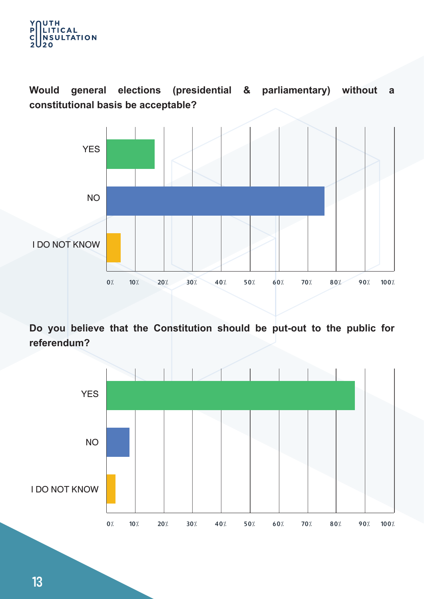

**Would general elections (presidential & parliamentary) without a constitutional basis be acceptable?** 



**Do you believe that the Constitution should be put-out to the public for referendum?** 

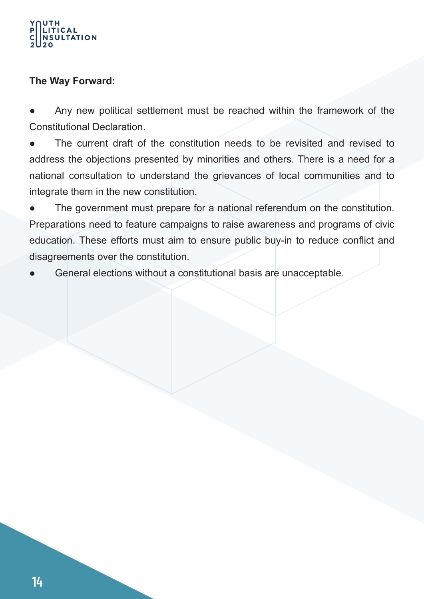# **ITICAL JLTATION**

#### **The Way Forward:**

Any new political settlement must be reached within the framework of the Constitutional Declaration.

The current draft of the constitution needs to be revisited and revised to address the objections presented by minorities and others. There is a need for a national consultation to understand the grievances of local communities and to integrate them in the new constitution.

The government must prepare for a national referendum on the constitution. Preparations need to feature campaigns to raise awareness and programs of civic education. These efforts must aim to ensure public buy-in to reduce conflict and disagreements over the constitution.

General elections without a constitutional basis are unacceptable.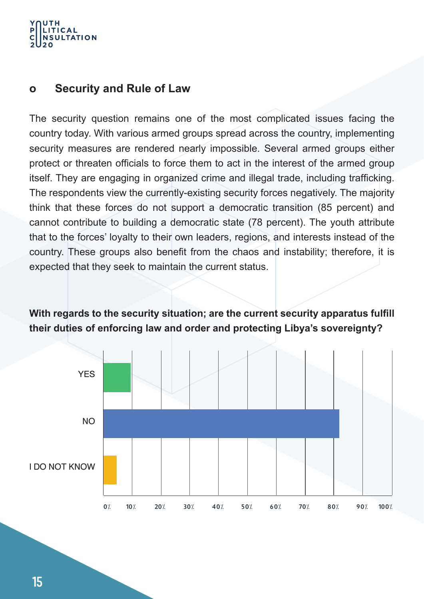#### UTH **ITICAL ULTATION**

#### **o Security and Rule of Law**

The security question remains one of the most complicated issues facing the country today. With various armed groups spread across the country, implementing security measures are rendered nearly impossible. Several armed groups either protect or threaten officials to force them to act in the interest of the armed group itself. They are engaging in organized crime and illegal trade, including trafficking. The respondents view the currently-existing security forces negatively. The majority think that these forces do not support a democratic transition (85 percent) and cannot contribute to building a democratic state (78 percent). The youth attribute that to the forces' loyalty to their own leaders, regions, and interests instead of the country. These groups also benefit from the chaos and instability; therefore, it is expected that they seek to maintain the current status.

**With regards to the security situation; are the current security apparatus fulfill their duties of enforcing law and order and protecting Libya's sovereignty?**

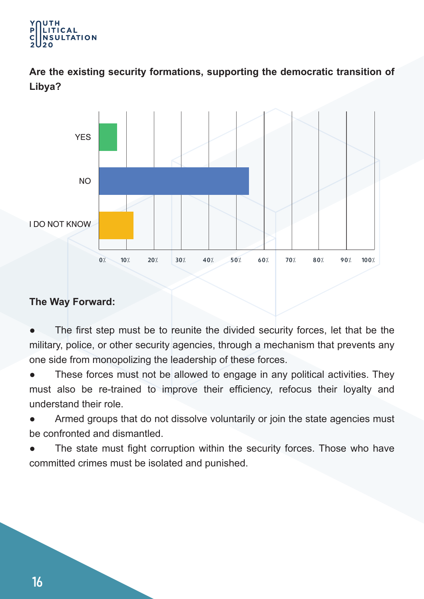#### UTH LITICAL **ULTATION**

**Are the existing security formations, supporting the democratic transition of Libya?**



#### **The Way Forward:**

The first step must be to reunite the divided security forces, let that be the military, police, or other security agencies, through a mechanism that prevents any one side from monopolizing the leadership of these forces.

These forces must not be allowed to engage in any political activities. They must also be re-trained to improve their efficiency, refocus their loyalty and understand their role.

Armed groups that do not dissolve voluntarily or join the state agencies must be confronted and dismantled.

The state must fight corruption within the security forces. Those who have committed crimes must be isolated and punished.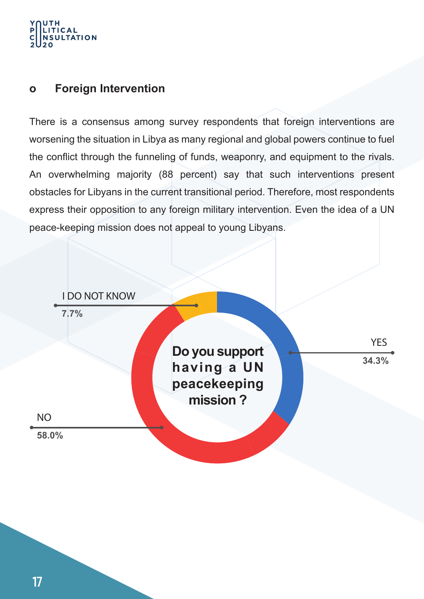#### UTH **LITICAL ISULTATION**

#### **o Foreign Intervention**

There is a consensus among survey respondents that foreign interventions are worsening the situation in Libya as many regional and global powers continue to fuel the conflict through the funneling of funds, weaponry, and equipment to the rivals. An overwhelming majority (88 percent) say that such interventions present obstacles for Libyans in the current transitional period. Therefore, most respondents express their opposition to any foreign military intervention. Even the idea of a UN peace-keeping mission does not appeal to young Libyans.

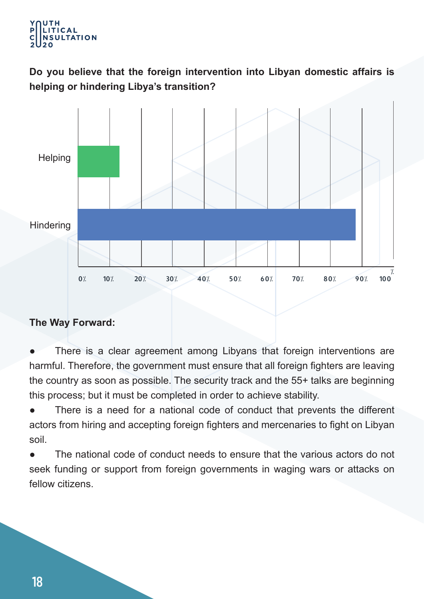#### UTH **ITICAL ULTATION**

**Do you believe that the foreign intervention into Libyan domestic affairs is helping or hindering Libya's transition?**



#### **The Way Forward:**

There is a clear agreement among Libyans that foreign interventions are harmful. Therefore, the government must ensure that all foreign fighters are leaving the country as soon as possible. The security track and the 55+ talks are beginning this process; but it must be completed in order to achieve stability.

There is a need for a national code of conduct that prevents the different actors from hiring and accepting foreign fighters and mercenaries to fight on Libyan soil.

● The national code of conduct needs to ensure that the various actors do not seek funding or support from foreign governments in waging wars or attacks on fellow citizens.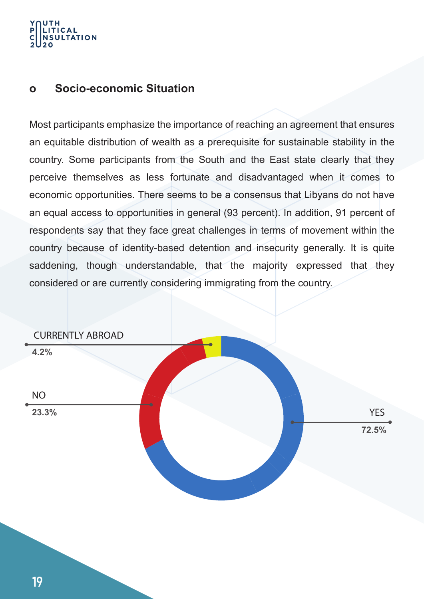# **ITICAL ULTATION**

#### **o Socio-economic Situation**

Most participants emphasize the importance of reaching an agreement that ensures an equitable distribution of wealth as a prerequisite for sustainable stability in the country. Some participants from the South and the East state clearly that they perceive themselves as less fortunate and disadvantaged when it comes to economic opportunities. There seems to be a consensus that Libyans do not have an equal access to opportunities in general (93 percent). In addition, 91 percent of respondents say that they face great challenges in terms of movement within the country because of identity-based detention and insecurity generally. It is quite saddening, though understandable, that the majority expressed that they considered or are currently considering immigrating from the country.

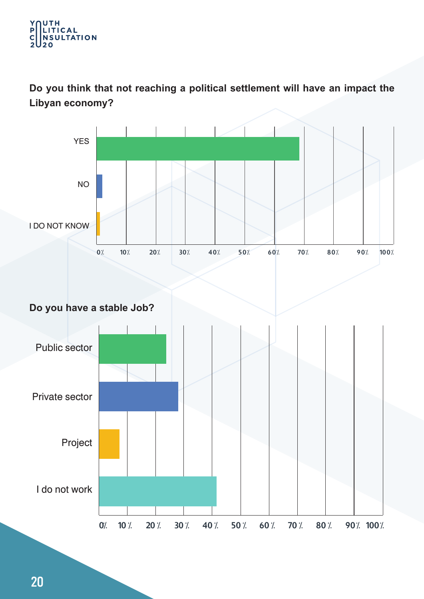#### UTH<br>Litical Y<br>P **NSULTATION**  $\overline{2}$  $20$

**Do you think that not reaching a political settlement will have an impact the Libyan economy?**

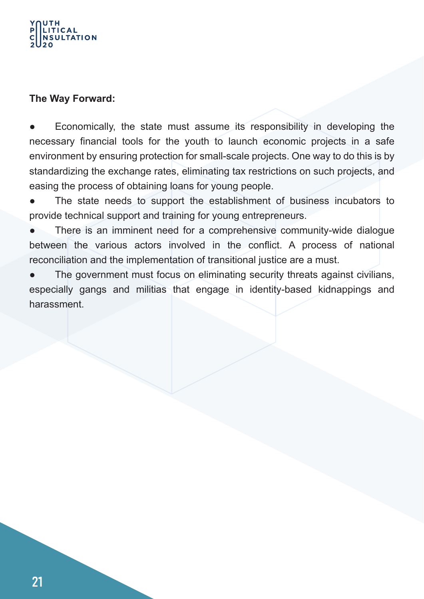#### UTH **TTICAL ULTATION**

#### **The Way Forward:**

Economically, the state must assume its responsibility in developing the necessary financial tools for the youth to launch economic projects in a safe environment by ensuring protection for small-scale projects. One way to do this is by standardizing the exchange rates, eliminating tax restrictions on such projects, and easing the process of obtaining loans for young people.

- The state needs to support the establishment of business incubators to provide technical support and training for young entrepreneurs.
- There is an imminent need for a comprehensive community-wide dialogue between the various actors involved in the conflict. A process of national reconciliation and the implementation of transitional justice are a must.
- The government must focus on eliminating security threats against civilians, especially gangs and militias that engage in identity-based kidnappings and harassment.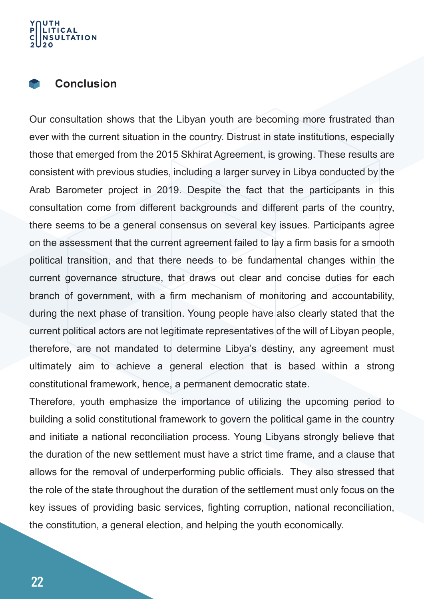### **ITICAL JLTATION**

#### **Conclusion**

Our consultation shows that the Libyan youth are becoming more frustrated than ever with the current situation in the country. Distrust in state institutions, especially those that emerged from the 2015 Skhirat Agreement, is growing. These results are consistent with previous studies, including a larger survey in Libya conducted by the Arab Barometer project in 2019. Despite the fact that the participants in this consultation come from different backgrounds and different parts of the country, there seems to be a general consensus on several key issues. Participants agree on the assessment that the current agreement failed to lay a firm basis for a smooth political transition, and that there needs to be fundamental changes within the current governance structure, that draws out clear and concise duties for each branch of government, with a firm mechanism of monitoring and accountability, during the next phase of transition. Young people have also clearly stated that the current political actors are not legitimate representatives of the will of Libyan people, therefore, are not mandated to determine Libya's destiny, any agreement must ultimately aim to achieve a general election that is based within a strong constitutional framework, hence, a permanent democratic state.

Therefore, youth emphasize the importance of utilizing the upcoming period to building a solid constitutional framework to govern the political game in the country and initiate a national reconciliation process. Young Libyans strongly believe that the duration of the new settlement must have a strict time frame, and a clause that allows for the removal of underperforming public officials. They also stressed that the role of the state throughout the duration of the settlement must only focus on the key issues of providing basic services, fighting corruption, national reconciliation, the constitution, a general election, and helping the youth economically.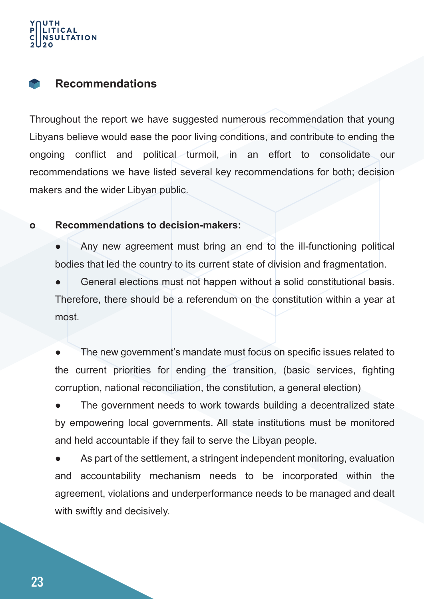# **JLTATION**

#### **Recommendations**

Throughout the report we have suggested numerous recommendation that young Libyans believe would ease the poor living conditions, and contribute to ending the ongoing conflict and political turmoil, in an effort to consolidate our recommendations we have listed several key recommendations for both; decision makers and the wider Libyan public.

#### **o Recommendations to decision-makers:**

Any new agreement must bring an end to the ill-functioning political bodies that led the country to its current state of division and fragmentation.

General elections must not happen without a solid constitutional basis. Therefore, there should be a referendum on the constitution within a year at most.

The new government's mandate must focus on specific issues related to the current priorities for ending the transition, (basic services, fighting corruption, national reconciliation, the constitution, a general election)

The government needs to work towards building a decentralized state by empowering local governments. All state institutions must be monitored and held accountable if they fail to serve the Libyan people.

As part of the settlement, a stringent independent monitoring, evaluation and accountability mechanism needs to be incorporated within the agreement, violations and underperformance needs to be managed and dealt with swiftly and decisively.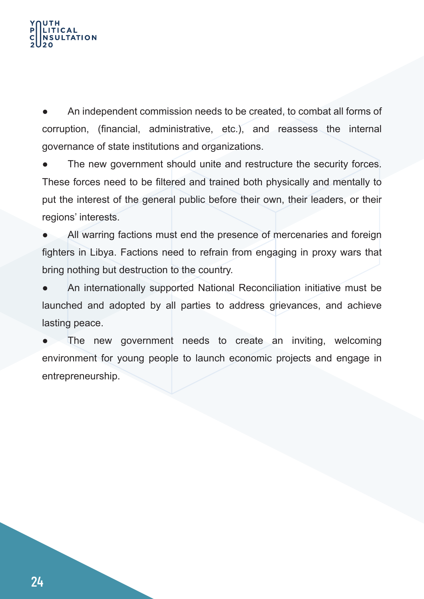# **TATION**

An independent commission needs to be created, to combat all forms of corruption, (financial, administrative, etc.), and reassess the internal governance of state institutions and organizations.

The new government should unite and restructure the security forces. These forces need to be filtered and trained both physically and mentally to put the interest of the general public before their own, their leaders, or their regions' interests.

All warring factions must end the presence of mercenaries and foreign fighters in Libya. Factions need to refrain from engaging in proxy wars that bring nothing but destruction to the country.

An internationally supported National Reconciliation initiative must be launched and adopted by all parties to address grievances, and achieve lasting peace.

The new government needs to create an inviting, welcoming environment for young people to launch economic projects and engage in entrepreneurship.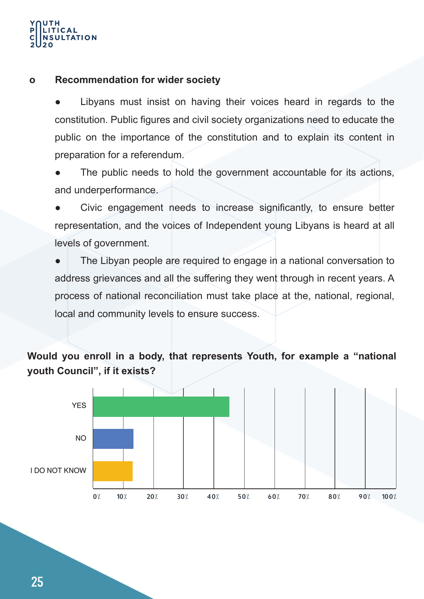# $ITICAL$ **JLTATION**

#### **o Recommendation for wider society**

Libyans must insist on having their voices heard in regards to the constitution. Public figures and civil society organizations need to educate the public on the importance of the constitution and to explain its content in preparation for a referendum.

The public needs to hold the government accountable for its actions, and underperformance.

Civic engagement needs to increase significantly, to ensure better representation, and the voices of Independent young Libyans is heard at all levels of government.

The Libyan people are required to engage in a national conversation to address grievances and all the suffering they went through in recent years. A process of national reconciliation must take place at the, national, regional, local and community levels to ensure success.

#### **Would you enroll in a body, that represents Youth, for example a "national youth Council", if it exists?**

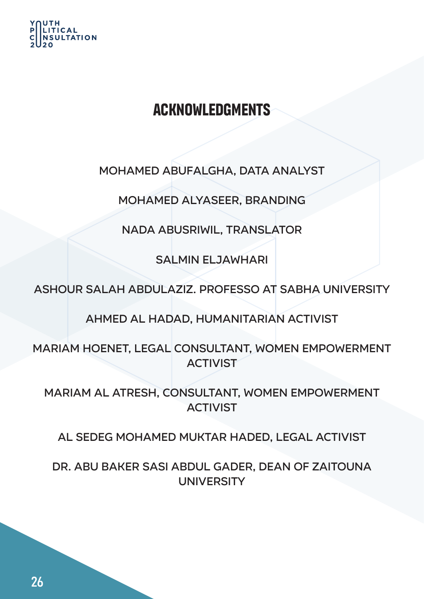

# **Acknowledgments**

Mohamed Abufalgha, Data Analyst

Mohamed Alyaseer, Branding

Nada Abusriwil, Translator

Salmin Eljawhari

Ashour Salah Abdulaziz. Professo at Sabha University

Ahmed Al Hadad, humanitarian activist

Mariam Hoenet, Legal consultant, Women empowerment **ACTIVIST** 

Mariam Al Atresh, consultant, Women empowerment **ACTIVIST** 

Al Sedeg Mohamed Muktar Haded, Legal Activist

Dr. Abu Baker Sasi Abdul Gader, Dean of Zaitouna **UNIVERSITY**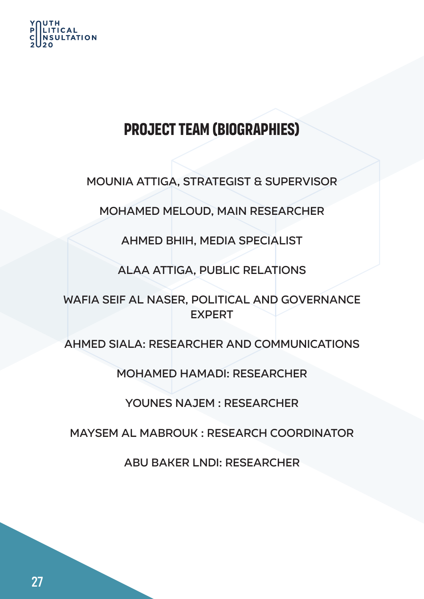

# **Project Team (Biographies)**

Mounia Attiga, Strategist & Supervisor

Mohamed Meloud, Main Researcher

Ahmed Bhih, Media specialist

Alaa Attiga, Public Relations

Wafia Seif Al Naser, Political and Governance **EXPERT** 

Ahmed Siala: Researcher and communications

Mohamed Hamadi: Researcher

Younes Najem : Researcher

Maysem Al Mabrouk : Research Coordinator

Abu Baker Lndi: Researcher